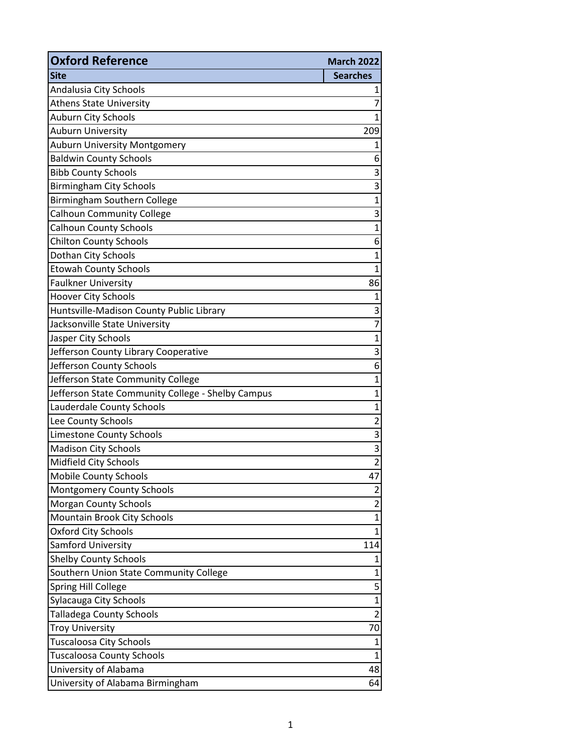| <b>Oxford Reference</b>                           | <b>March 2022</b> |
|---------------------------------------------------|-------------------|
| <b>Site</b>                                       | <b>Searches</b>   |
| Andalusia City Schools                            | 1                 |
| <b>Athens State University</b>                    | 7                 |
| Auburn City Schools                               | $\overline{1}$    |
| <b>Auburn University</b>                          | 209               |
| Auburn University Montgomery                      | $\mathbf 1$       |
| <b>Baldwin County Schools</b>                     | 6                 |
| <b>Bibb County Schools</b>                        | 3                 |
| <b>Birmingham City Schools</b>                    | 3                 |
| Birmingham Southern College                       | $\overline{1}$    |
| <b>Calhoun Community College</b>                  | 3                 |
| <b>Calhoun County Schools</b>                     | $\mathbf{1}$      |
| <b>Chilton County Schools</b>                     | 6                 |
| Dothan City Schools                               | $\mathbf 1$       |
| <b>Etowah County Schools</b>                      | 1                 |
| <b>Faulkner University</b>                        | 86                |
| <b>Hoover City Schools</b>                        | 1                 |
| Huntsville-Madison County Public Library          | 3                 |
| Jacksonville State University                     | 7                 |
| Jasper City Schools                               | $\mathbf 1$       |
| Jefferson County Library Cooperative              | 3                 |
| Jefferson County Schools                          | 6                 |
| Jefferson State Community College                 | $\overline{1}$    |
| Jefferson State Community College - Shelby Campus | $\mathbf 1$       |
| Lauderdale County Schools                         | $\mathbf 1$       |
| Lee County Schools                                | 2                 |
| <b>Limestone County Schools</b>                   | 3                 |
| <b>Madison City Schools</b>                       | 3                 |
| Midfield City Schools                             | $\overline{2}$    |
| <b>Mobile County Schools</b>                      | 47                |
| <b>Montgomery County Schools</b>                  | $\overline{c}$    |
| <b>Morgan County Schools</b>                      | $\overline{c}$    |
| Mountain Brook City Schools                       | $\overline{1}$    |
| <b>Oxford City Schools</b>                        | 1                 |
| Samford University                                | 114               |
| <b>Shelby County Schools</b>                      | 1                 |
| Southern Union State Community College            | $\mathbf{1}$      |
| Spring Hill College                               | 5                 |
| Sylacauga City Schools                            | $\mathbf 1$       |
| <b>Talladega County Schools</b>                   | $\overline{2}$    |
| <b>Troy University</b>                            | 70                |
| <b>Tuscaloosa City Schools</b>                    | $\overline{1}$    |
| <b>Tuscaloosa County Schools</b>                  | 1                 |
| University of Alabama                             | 48                |
| University of Alabama Birmingham                  | 64                |